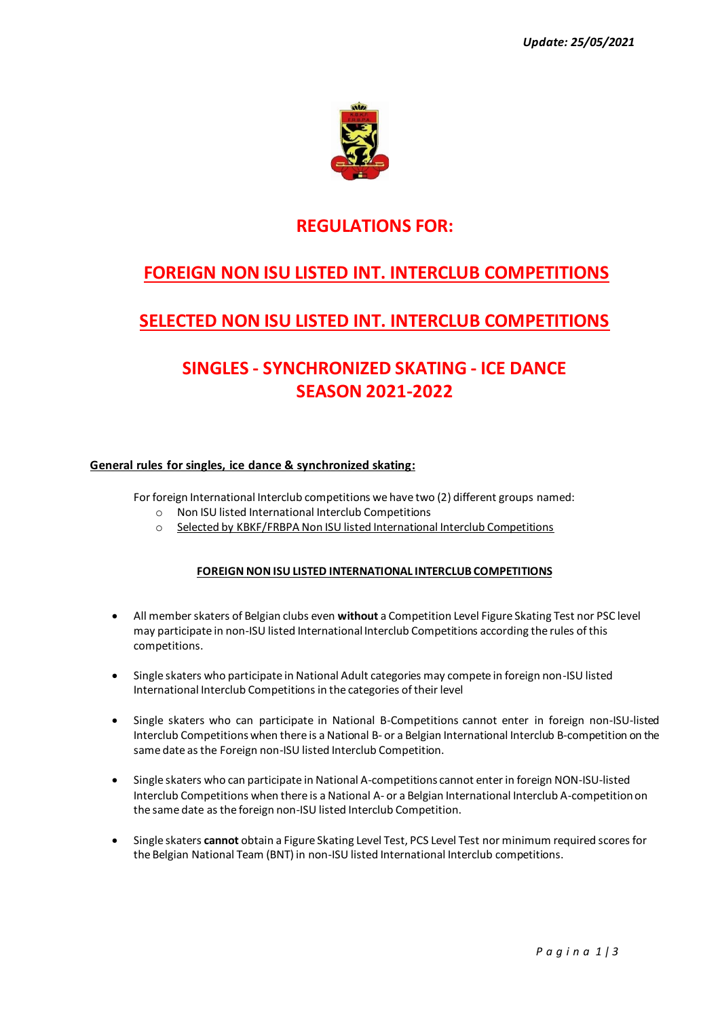

### **REGULATIONS FOR:**

# **FOREIGN NON ISU LISTED INT. INTERCLUB COMPETITIONS**

## **SELECTED NON ISU LISTED INT. INTERCLUB COMPETITIONS**

# **SINGLES - SYNCHRONIZED SKATING - ICE DANCE SEASON 2021-2022**

### **General rules for singles, ice dance & synchronized skating:**

For foreign International Interclub competitions we have two (2) different groups named:

- o Non ISU listed International Interclub Competitions
- o Selected by KBKF/FRBPA Non ISU listed International Interclub Competitions

#### **FOREIGN NON ISU LISTED INTERNATIONAL INTERCLUB COMPETITIONS**

- All member skaters of Belgian clubs even **without** a Competition Level Figure Skating Test nor PSC level may participate in non-ISU listed International Interclub Competitions according the rules of this competitions.
- Single skaters who participate in National Adult categories may compete in foreign non-ISU listed International Interclub Competitions in the categories of their level
- Single skaters who can participate in National B-Competitions cannot enter in foreign non-ISU-listed Interclub Competitions when there is a National B- or a Belgian International Interclub B-competition on the same date as the Foreign non-ISU listed Interclub Competition.
- Single skaters who can participate in National A-competitions cannot enter in foreign NON-ISU-listed Interclub Competitions when there is a National A- or a Belgian International Interclub A-competition on the same date as the foreign non-ISU listed Interclub Competition.
- Single skaters **cannot** obtain a Figure Skating Level Test, PCS Level Test nor minimum required scores for the Belgian National Team (BNT) in non-ISU listed International Interclub competitions.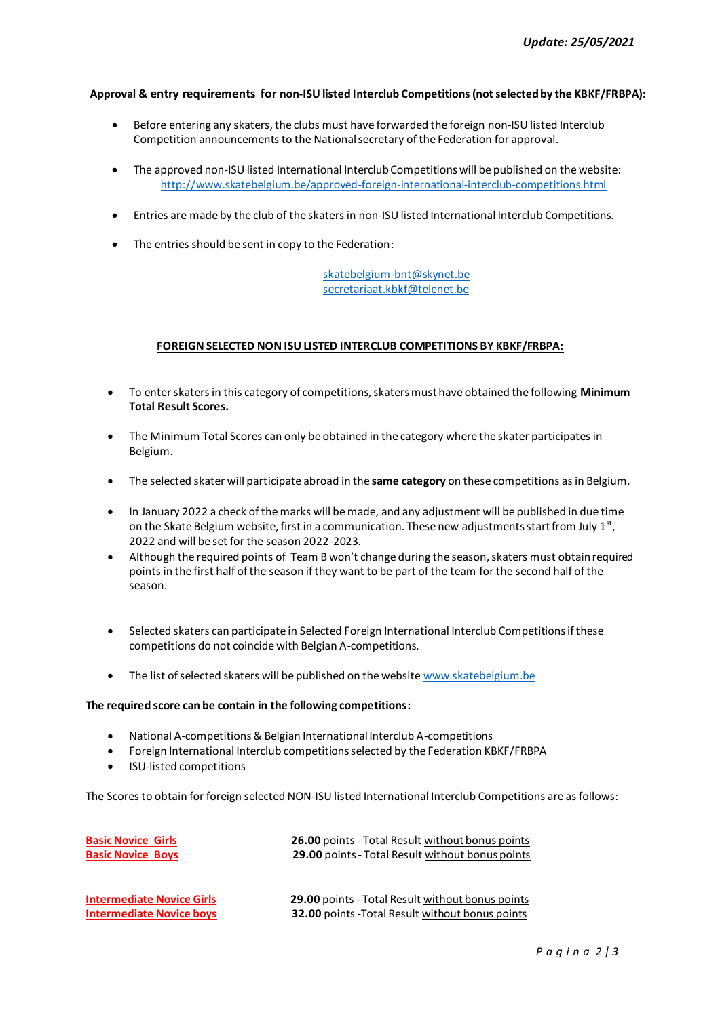#### **Approval & entry requirements for non-ISU listed Interclub Competitions (not selected by the KBKF/FRBPA):**

- Before entering any skaters, the clubs must have forwarded the foreign non-ISU listed Interclub Competition announcements to the National secretary of the Federation for approval.
- The approved non-ISU listed International Interclub Competitions will be published on the website: <http://www.skatebelgium.be/approved-foreign-international-interclub-competitions.html>
- Entries are made by the club of the skaters in non-ISU listed International Interclub Competitions.
- The entries should be sent in copy to the Federation:

#### skatebelgium-bnt@skynet.be [secretariaat.kbkf@telenet.be](mailto:secretariaat.kbkf@telenet.be)

#### **FOREIGN SELECTED NON ISU LISTED INTERCLUB COMPETITIONS BY KBKF/FRBPA:**

- To enter skaters in this category of competitions, skaters must have obtained the following **Minimum Total Result Scores.**
- The Minimum Total Scores can only be obtained in the category where the skater participates in Belgium.
- The selected skater will participate abroad in the **same category** on these competitions as in Belgium.
- In January 2022 a check of the marks will be made, and any adjustment will be published in due time on the Skate Belgium website, first in a communication. These new adjustments start from July  $1<sup>st</sup>$ , 2022 and will be set for the season 2022-2023.
- Although the required points of Team B won't change during the season, skaters must obtain required points in the first half of the season if they want to be part of the team for the second half of the season.
- Selected skaters can participate in Selected Foreign International Interclub Competitions if these competitions do not coincide with Belgian A-competitions.
- The list of selected skaters will be published on the website [www.skatebelgium.be](http://www.skatebelgium.be/)

#### **The required score can be contain in the following competitions:**

- National A-competitions& Belgian International Interclub A-competitions
- Foreign International Interclub competitions selected by the Federation KBKF/FRBPA
- ISU-listed competitions

The Scores to obtain for foreign selected NON-ISU listed International Interclub Competitions are as follows:

| <b>Basic Novice Girls</b><br><b>Basic Novice Boys</b> | <b>26.00 points - Total Result without bonus points</b><br>29.00 points - Total Result without bonus points |
|-------------------------------------------------------|-------------------------------------------------------------------------------------------------------------|
| <b>Intermediate Novice Girls</b>                      | 29.00 points - Total Result without bonus points                                                            |
| <b>Intermediate Novice boys</b>                       | <b>32.00</b> points - Total Result without bonus points                                                     |